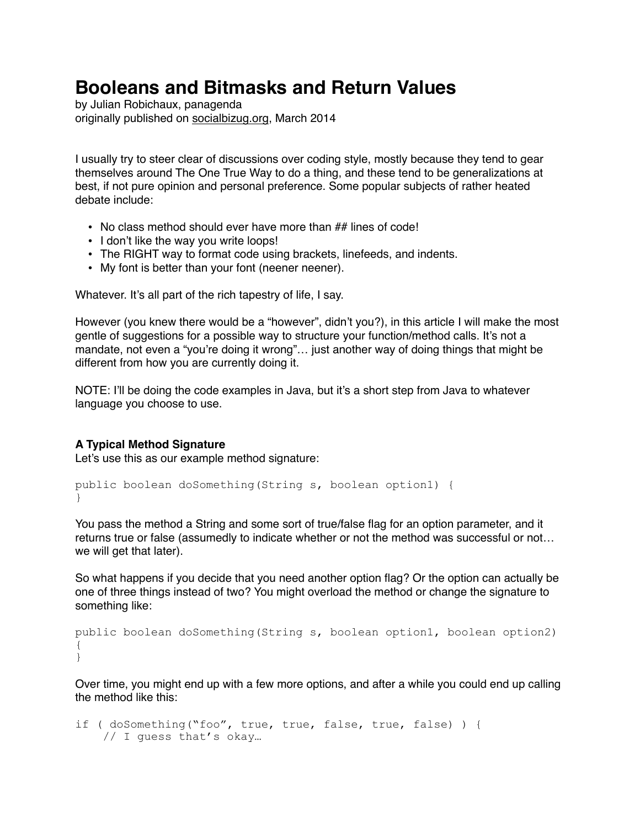# **Booleans and Bitmasks and Return Values**

by Julian Robichaux, panagenda originally published on [socialbizug.org](http://socialbizug.org), March 2014

I usually try to steer clear of discussions over coding style, mostly because they tend to gear themselves around The One True Way to do a thing, and these tend to be generalizations at best, if not pure opinion and personal preference. Some popular subjects of rather heated debate include:

- No class method should ever have more than ## lines of code!
- I don't like the way you write loops!
- The RIGHT way to format code using brackets, linefeeds, and indents.
- My font is better than your font (neener neener).

Whatever. It's all part of the rich tapestry of life, I say.

However (you knew there would be a "however", didn't you?), in this article I will make the most gentle of suggestions for a possible way to structure your function/method calls. It's not a mandate, not even a "you're doing it wrong"... just another way of doing things that might be different from how you are currently doing it.

NOTE: I'll be doing the code examples in Java, but it's a short step from Java to whatever language you choose to use.

# **A Typical Method Signature**

Let's use this as our example method signature:

```
public boolean doSomething(String s, boolean option1) { 
}
```
You pass the method a String and some sort of true/false flag for an option parameter, and it returns true or false (assumedly to indicate whether or not the method was successful or not… we will get that later).

So what happens if you decide that you need another option flag? Or the option can actually be one of three things instead of two? You might overload the method or change the signature to something like:

```
public boolean doSomething(String s, boolean option1, boolean option2) 
{ 
}
```
Over time, you might end up with a few more options, and after a while you could end up calling the method like this:

```
if ( doSomething("foo", true, true, false, true, false) ) { 
    // I guess that's okay…
```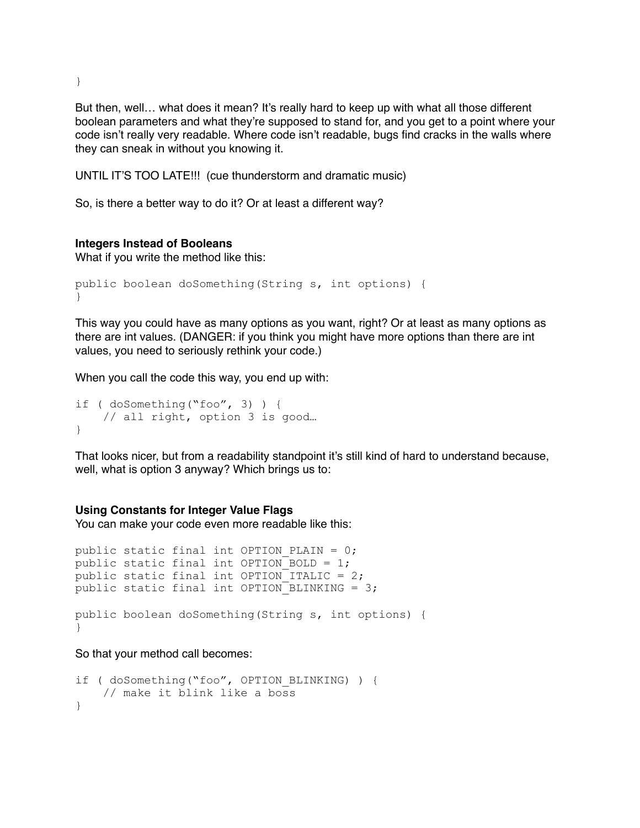But then, well… what does it mean? It's really hard to keep up with what all those different boolean parameters and what they're supposed to stand for, and you get to a point where your code isn't really very readable. Where code isn't readable, bugs find cracks in the walls where they can sneak in without you knowing it.

UNTIL IT'S TOO LATE!!! (cue thunderstorm and dramatic music)

So, is there a better way to do it? Or at least a different way?

#### **Integers Instead of Booleans**

What if you write the method like this:

```
public boolean doSomething(String s, int options) { 
}
```
This way you could have as many options as you want, right? Or at least as many options as there are int values. (DANGER: if you think you might have more options than there are int values, you need to seriously rethink your code.)

When you call the code this way, you end up with:

```
if ( doSomething("foo", 3) ) { 
     // all right, option 3 is good… 
}
```
That looks nicer, but from a readability standpoint it's still kind of hard to understand because, well, what is option 3 anyway? Which brings us to:

#### **Using Constants for Integer Value Flags**

You can make your code even more readable like this:

```
public static final int OPTION PLAIN = 0;
public static final int OPTION BOLD = 1;
public static final int OPTION ITALIC = 2;
public static final int OPTION BLINKING = 3;
public boolean doSomething(String s, int options) { 
}
```
So that your method call becomes:

```
if ( doSomething ("foo", OPTION BLINKING) ) {
    // make it blink like a boss 
}
```
}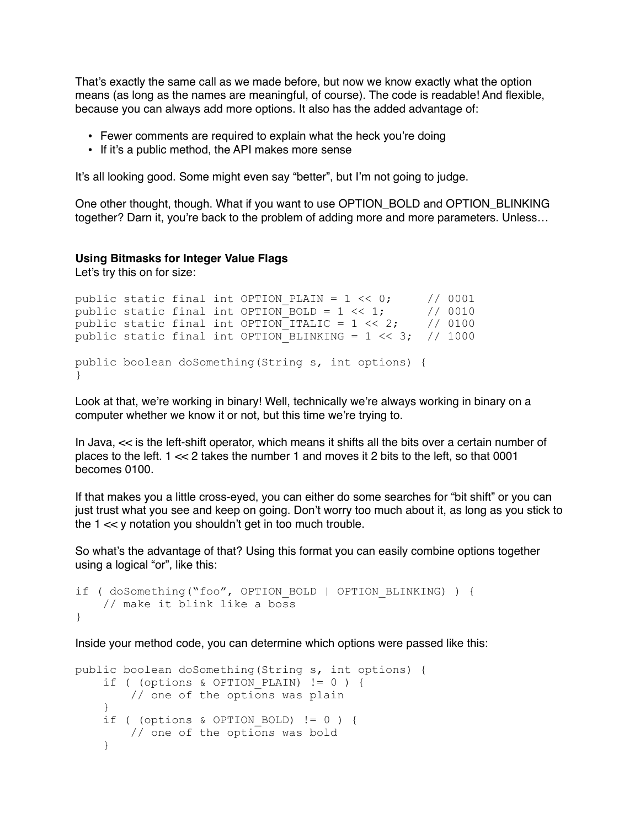That's exactly the same call as we made before, but now we know exactly what the option means (as long as the names are meaningful, of course). The code is readable! And flexible, because you can always add more options. It also has the added advantage of:

- Fewer comments are required to explain what the heck you're doing
- If it's a public method, the API makes more sense

It's all looking good. Some might even say "better", but I'm not going to judge.

One other thought, though. What if you want to use OPTION\_BOLD and OPTION\_BLINKING together? Darn it, you're back to the problem of adding more and more parameters. Unless…

### **Using Bitmasks for Integer Value Flags**

Let's try this on for size:

}

```
public static final int OPTION PLAIN = 1 \ll 0; // 0001
public static final int OPTION_BOLD = 1 \ll 1; // 0010
public static final int OPTION_ITALIC = 1 \ll 2; // 0100
public static final int OPTION BLINKING = 1 \ll 3; // 1000
public boolean doSomething(String s, int options) {
```
Look at that, we're working in binary! Well, technically we're always working in binary on a computer whether we know it or not, but this time we're trying to.

In Java,  $\ll$  is the left-shift operator, which means it shifts all the bits over a certain number of places to the left. 1 << 2 takes the number 1 and moves it 2 bits to the left, so that 0001 becomes 0100.

If that makes you a little cross-eyed, you can either do some searches for "bit shift" or you can just trust what you see and keep on going. Don't worry too much about it, as long as you stick to the 1 << y notation you shouldn't get in too much trouble.

So what's the advantage of that? Using this format you can easily combine options together using a logical "or", like this:

```
if ( doSomething("foo", OPTION_BOLD | OPTION_BLINKING) ) { 
     // make it blink like a boss 
}
```
Inside your method code, you can determine which options were passed like this:

```
public boolean doSomething(String s, int options) { 
    if ( (options & OPTION PLAIN) != 0 ) {
         // one of the options was plain 
     } 
    if ( (options & OPTION BOLD) != 0 ) {
         // one of the options was bold 
     }
```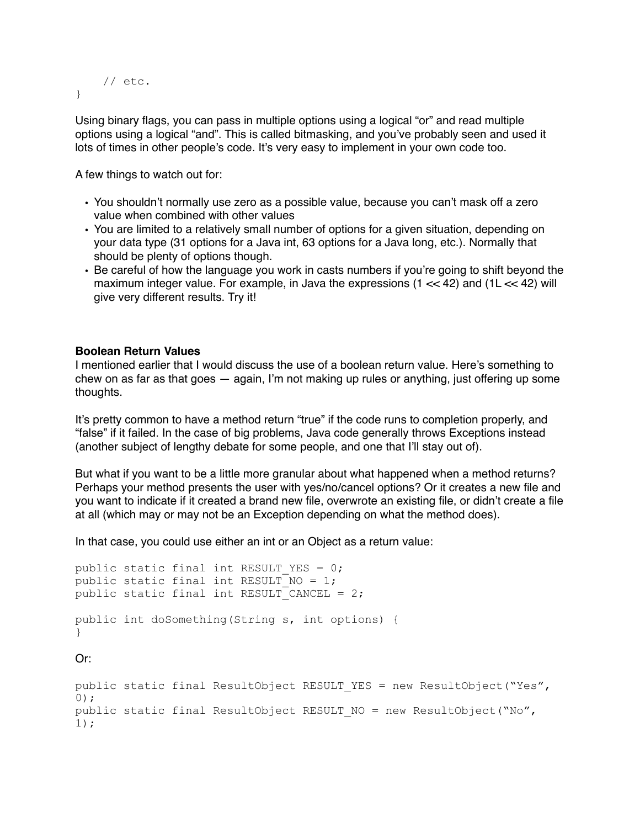```
 // etc. 
}
```
Using binary flags, you can pass in multiple options using a logical "or" and read multiple options using a logical "and". This is called bitmasking, and you've probably seen and used it lots of times in other people's code. It's very easy to implement in your own code too.

A few things to watch out for:

- You shouldn't normally use zero as a possible value, because you can't mask off a zero value when combined with other values
- You are limited to a relatively small number of options for a given situation, depending on your data type (31 options for a Java int, 63 options for a Java long, etc.). Normally that should be plenty of options though.
- Be careful of how the language you work in casts numbers if you're going to shift beyond the maximum integer value. For example, in Java the expressions  $(1 \ll 42)$  and  $(1 \ll 42)$  will give very different results. Try it!

# **Boolean Return Values**

I mentioned earlier that I would discuss the use of a boolean return value. Here's something to chew on as far as that goes — again, I'm not making up rules or anything, just offering up some thoughts.

It's pretty common to have a method return "true" if the code runs to completion properly, and "false" if it failed. In the case of big problems, Java code generally throws Exceptions instead (another subject of lengthy debate for some people, and one that I'll stay out of).

But what if you want to be a little more granular about what happened when a method returns? Perhaps your method presents the user with yes/no/cancel options? Or it creates a new file and you want to indicate if it created a brand new file, overwrote an existing file, or didn't create a file at all (which may or may not be an Exception depending on what the method does).

In that case, you could use either an int or an Object as a return value:

```
public static final int RESULT YES = 0;
public static final int RESULT NO = 1;
public static final int RESULT CANCEL = 2;
public int doSomething(String s, int options) { 
} 
Or:
public static final ResultObject RESULT YES = new ResultObject("Yes",
0);
```

```
public static final ResultObject RESULT NO = new ResultObject("No",
1);
```